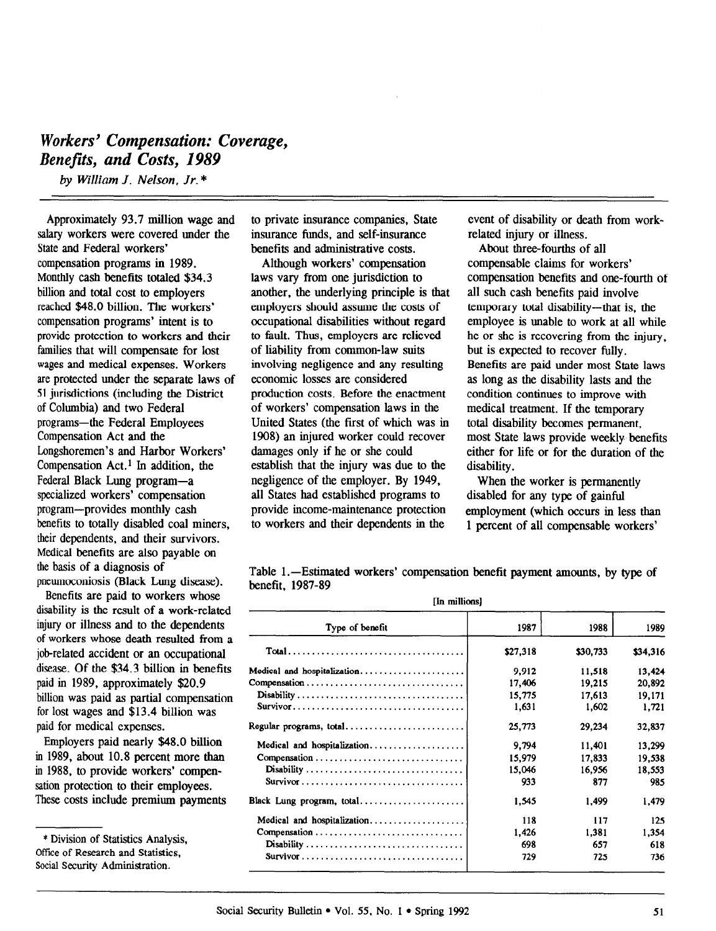# Workers' Compensation: Coverage, Benefits, and Costs, 1989

by William J. Nelson, Jr. \*

Approximately 93.7 million wage and salary workers were covered under the State and Federal workers' compensation programs in 1989. Monthly cash benefits totaled \$34.3 billion and total cost to employers reached \$48.0 billion. The workers' compensation programs' intent is to provide protection to workers and their families that will compensate for lost wages and medical expenses. Workers are protected under the separate laws of 51 jurisdictions (including the District of Columbia) and two Federal programs-the Federal Employees Compensation Act and the Longshoremen's and Harbor Workers' Compensation Act.' In addition, the Federal Black Lung program-a specialized workers' compensation program-provides monthly cash benefits to totally disabled coal miners, their dependents, and their survivors. Medical benefits are also payable on the basis of a diagnosis of pneumoconiosis (Black Lung disease).

Benefits are paid to workers whose disability is the result of a work-related injury or illness and to the dependents of workers whose death resulted from a job-related accident or an occupational disease. Of the \$34.3 billion in benefits paid in 1989, approximately \$20.9 billion was paid as partial compensation for lost wages and \$13.4 billion was paid for medical expenses.

Employers paid nearly \$48.0 billion in 1989, about 10.8 percent more than in 1988, to provide workers' compensation protection to their employees. These costs include premium payments to private insurance companies, State insurance funds, and self-insurance benefits and administrative costs.

Although workers' compensation laws vary from one jurisdiction to another, the underlying principle is that employers should assume the costs of occupational disabilities without regard to fault. Thus, employers are relieved of liability from common-law suits involving negligence and any resulting economic losses are considered production costs. Before the enactment of workers' compensation laws in the United States (the first of which was in 1908) an injured worker could recover damages only if he or she could establish that the injury was due to the negligence of the employer. By 1949, all States had established programs to provide income-maintenance protection to workers and their dependents in the

event of disability or death from workrelated injury or illness.

About three-fourths of all compensable claims for workers' compensation benefits and one-fourth of all such cash benefits paid involve temporary total disability---that is, the employee is unable to work at all while he or she is recovering from the injury, but is expected to recover fully. Benefits are paid under most State laws as long as the disability lasts and the condition continues to improve with medical treatment. If the temporary total disability becomes permanent, most State laws provide weekly benefits either for life or for the duration of the disability.

When the worker is permanently disabled for any type of gainful employment (which occurs in less than 1 percent of all compensable workers'

Table 1.—Estimated workers' compensation benefit payment amounts, by type of benefit, 1987-89 [In millions]

| <b>THE HUHLONS</b>                                                               |          |          |          |  |  |  |  |  |
|----------------------------------------------------------------------------------|----------|----------|----------|--|--|--|--|--|
| Type of benefit                                                                  | 1987     | 1988     | 1989     |  |  |  |  |  |
|                                                                                  | \$27,318 | \$30,733 | \$34,316 |  |  |  |  |  |
| Medical and hospitalization                                                      | 9.912    | 11.518   | 13,424   |  |  |  |  |  |
|                                                                                  | 17,406   | 19.215   | 20.892   |  |  |  |  |  |
|                                                                                  | 15,775   | 17.613   | 19,171   |  |  |  |  |  |
|                                                                                  | 1.631    | 1.602    | 1.721    |  |  |  |  |  |
| Regular programs, total                                                          | 25,773   | 29,234   | 32,837   |  |  |  |  |  |
| Medical and hospitalization                                                      | 9.794    | 11.401   | 13.299   |  |  |  |  |  |
|                                                                                  | 15.979   | 17.833   | 19,538   |  |  |  |  |  |
| Disability                                                                       | 15,046   | 16,956   | 18,553   |  |  |  |  |  |
|                                                                                  | 933      | 877      | 985      |  |  |  |  |  |
| Black Lung program, total                                                        | 1.545    | 1.499    | 1.479    |  |  |  |  |  |
| Medical and hospitalization                                                      | 118      | 117      | 125      |  |  |  |  |  |
|                                                                                  | 1,426    | 1,381    | 1,354    |  |  |  |  |  |
| Disability                                                                       | 698      | 657      | 618      |  |  |  |  |  |
| $Survivor \ldots \ldots \ldots \ldots \ldots \ldots \ldots \ldots \ldots \ldots$ | 729      | 725      | 736      |  |  |  |  |  |

<sup>\*</sup> Division of Statistics Analysis, **Official** of Statistics Analysis Office of Research and Statistration.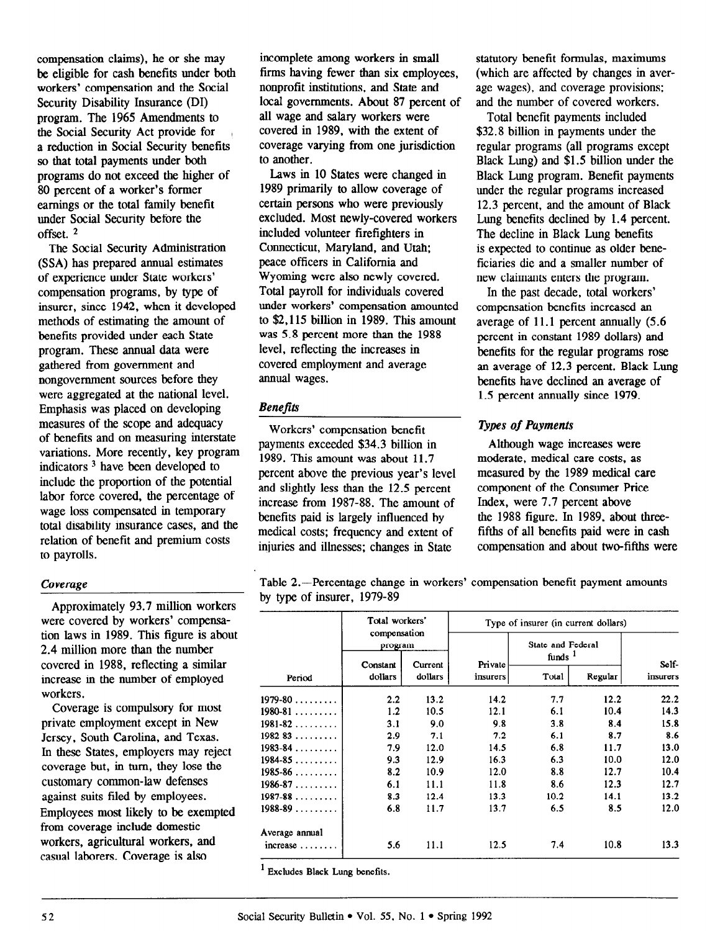compensation claims), he or she may be eligible for cash benefits under both workers' compensation and the Social Security Disability Insurance (DI) program. The 1965 Amendments to the Social Security Act provide for , a reduction in Social Security benefits so that total payments under both programs do not exceed the higher of 80 percent of a worker's former earnings or the total family benefit under Social Security before the  $offset<sup>2</sup>$ 

The Social Security Administration (SSA) has prepared annual estimates of experience under State workers' compensation programs, by type of insurer, since 1942, when it developed methods of estimating the amount of benefits provided under each State program. These annual data were gathered from government and nongovernment sources before they were aggregated at the national level. Emphasis was placed on developing measures of the scope and adequacy of benefits and on measuring interstate variations. More recently, key program indicators 3 have been developed to include the proportion of the potential labor force covered, the percentage of wage loss compensated in temporary total disability insurance cases, and the relation of benefit and premium costs to payrolls.

#### Coverage

Approximately 93.7 million workers were covered by workers' compensation laws in 1989. This figure is about 2.4 million more than the number covered in 1988, reflecting a similar increase in the number of employed workers.

Coverage is compulsory for most private employment except in New Jersey, South Carolina, and Texas. In these States, employers may reject m these states, employers may reje coverage out, in turn, they lose t customary common-law defenses<br>against suits filed by employees.  $E_{\text{m}}$  against suits likely  $U_{\text{m}}$  to be exempted.  $f(x)$  control coverage include  $f(x)$  coverage include  $f(x)$ from coverage include domestic workers, agricultural workers, and<br>casual laborers. Coverage is also

incomplete among workers in small firms having fewer than six employees, nonprofit institutions, and State and local governments. About 87 percent of all wage and salary workers were covered in 1989, with the extent of coverage varying from one jurisdiction to another.

Laws in 10 States were changed in 1989 primarily to allow coverage of certain persons who were previously excluded. Most newly-covered workers included volunteer firefighters in Connecticut, Maryland, and Utah: peace officers in California and Wyoming were also newly covered. Total payroll for individuals covered under workers' compensation amounted to \$2,115 billion in 1989. This amount was 5.8 percent more than the 1988 level, reflecting the increases in covered employment and average annual wages.

#### **Benefits**

Workers' compensation benefit payments exceeded \$34.3 billion in 1989. This amount was about 11.7 percent above the previous year's level and slightly less than the 12.5 percent increase from 1987-88. The amount of benefits paid is largely influenced by medical costs; frequency and extent of injuries and illnesses; changes in State

statutory benefit formulas, maximums (which are affected by changes in average wages), and coverage provisions; and the number of covered workers.

Total benefit payments included \$32.8 billion in payments under the regular programs (all programs except Black Lung) and \$1.5 billion under the Black Lung program. Benefit payments under the regular programs increased 12.3 percent, and the amount of Black Lung benefits declined by 1.4 percent. The decline in Black Lung benefits is expected to continue as older beneficiaries die and a smaller number of new claimants enters the program.

In the past decade, total workers' compensation benefits increased an average of 11.1 percent annually (5.6 percent in constant 1989 dollars) and benefits for the regular programs rose an average of 12.3 percent. Black Lung benefits have declined an average of 1.5 percent annually since 1979.

## **Types of Payments**

Although wage increases were moderate, medical care costs, as measured by the 1989 medical care component of the Consumer Price Index, were 7.7 percent above the 1988 figure. In 1989, about threefifths of all benefits paid were in cash compensation and about two-fifths were

Table 2.-Percentage change in workers' compensation benefit payment amounts by type of insurer, 1979-89

|                        | Total workers'<br>compensation<br>program |                    | Type of insurer (in current dollars) |                                         |         |                   |  |  |
|------------------------|-------------------------------------------|--------------------|--------------------------------------|-----------------------------------------|---------|-------------------|--|--|
|                        |                                           |                    |                                      | State and Federal<br>funds <sup>1</sup> |         |                   |  |  |
| Period                 | Constant<br>dollars                       | Current<br>dollars | Private<br>insurers                  | Total                                   | Regular | Self-<br>insurers |  |  |
| $1979 - 80$            | 2.2                                       | 13.2               | 14.2                                 | 7.7                                     | 12.2    | 22.2              |  |  |
| $1980 - 81$            | 1.2                                       | 10.5               | 12.1                                 | 6.1                                     | 10.4    | 14.3              |  |  |
| $1981 - 82$            | 3.1                                       | 9.0                | 9.8                                  | 3.8                                     | 8.4     | 15.8              |  |  |
| $1982 - 83$            | 2.9                                       | 7.1                | 7.2                                  | 6.1                                     | 8.7     | 8.6               |  |  |
| $1983 - 84$            | 7.9                                       | 12.0               | 14.5                                 | 6.8                                     | 11.7    | 13.0              |  |  |
| $1984 - 85$            | 9.3                                       | 12.9               | 16.3                                 | 6.3                                     | 10.0    | 12.0              |  |  |
| $1985 - 86$            | 8.2                                       | 10.9               | 12.0                                 | 8.8                                     | 12.7    | 10.4              |  |  |
| $1986 - 87$            | 6.1                                       | 11.1               | 11.8                                 | 8.6                                     | 12.3    | 12.7              |  |  |
| $1987 - 88$            | 8.3                                       | 12.4               | 13.3                                 | 10.2                                    | 14.1    | 13.2              |  |  |
| $1988 - 89$            | 6.8                                       | 11.7               | 13.7                                 | 6.5                                     | 8.5     | 12.0              |  |  |
| Average annual         |                                           |                    |                                      |                                         |         |                   |  |  |
| $increase \dots \dots$ | 5.6                                       | 11.1               | 12.5                                 | 7.4                                     | 10.8    | 13.3              |  |  |

 $<sup>1</sup>$  Excludes Black Lung benefits.</sup>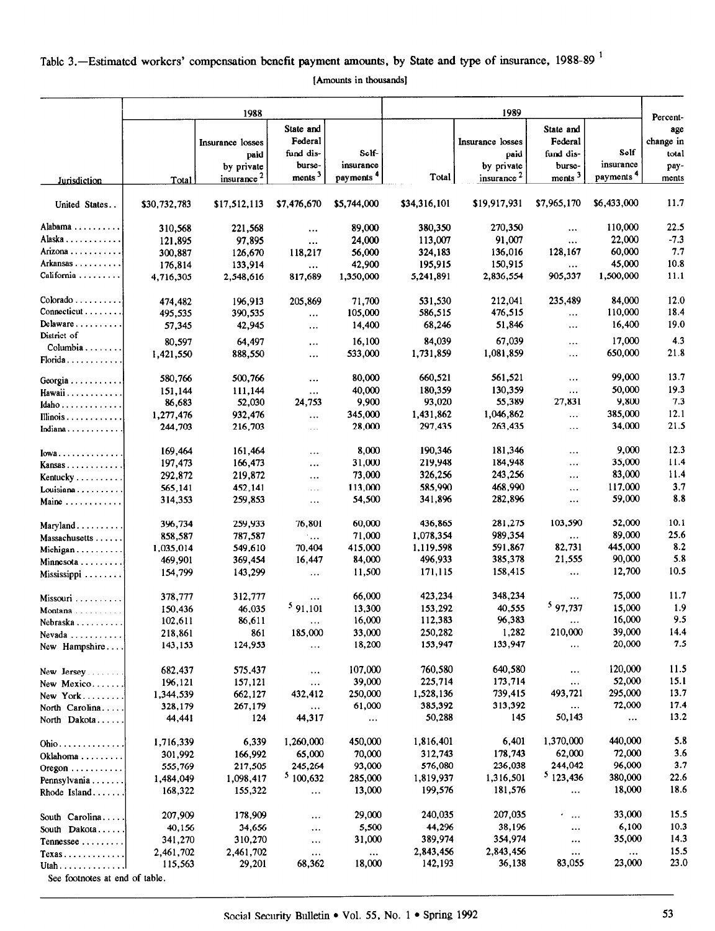# Table 3.—Estimated workers' compensation benefit payment amounts, by State and type of insurance, 1988-89<sup>1</sup>

[Amounts in thousands]

|                                     | 1988               |                        |                      | 1989                  |                    |                        |                     |                       |                 |
|-------------------------------------|--------------------|------------------------|----------------------|-----------------------|--------------------|------------------------|---------------------|-----------------------|-----------------|
|                                     |                    |                        | State and            |                       |                    |                        | State and           |                       | Percent-<br>age |
|                                     |                    | Insurance losses       | Federal              |                       |                    | Insurance losses       | Federal             |                       | change in       |
|                                     |                    | paid                   | fund dis-            | Sclf-                 |                    | paid                   | fund dis-           | Self-                 | total           |
|                                     |                    | by private             | burse-               | insurance             |                    | by private             | burse-              | insurance             | pay-            |
| Jurisdiction                        | Total              | insurance <sup>2</sup> | ments <sup>3</sup>   | payments <sup>4</sup> | Total              | insurance <sup>2</sup> | ments <sup>3</sup>  | payments <sup>4</sup> | ments           |
| United States                       | \$30,732,783       | \$17,512,113           | \$7,476,670          | \$5,744,000           | \$34,316,101       | \$19,917,931           | \$7,965,170         | \$6,433,000           | 11.7            |
| Alabama                             |                    |                        |                      |                       |                    |                        |                     |                       |                 |
| Alaska                              | 310,568            | 221,568                | $\cdots$             | 89,000                | 380,350            | 270,350                | $\ldots$            | 110,000               | 22.5<br>$-7.3$  |
|                                     | 121,895            | 97,895                 | $\cdots$             | 24,000                | 113,007            | 91,007                 | $\ldots$            | 22,000                |                 |
| Arizona<br>Arkansas                 | 300,887            | 126,670                | 118,217              | 56,000                | 324,183            | 136,016                | 128,167             | 60,000                | 7.7             |
| California                          | 176,814            | 133,914                | $\cdots$             | 42,900                | 195,915            | 150,915                |                     | 45,000                | 10.8            |
|                                     | 4,716,305          | 2,548,616              | 817,689              | 1,350,000             | 5,241,891          | 2,836,554              | 905,337             | 1,500,000             | 11.1            |
| $Colorado \ldots \ldots \ldots$     | 474,482            | 196,913                | 205,869              | 71,700                | 531,530            | 212,041                | 235,489             | 84,000                | 12.0            |
| Connecticut                         | 495,535            | 390,535                | $\ddotsc$            | 105,000               | 586,515            | 476,515                | $\ldots$            | 110,000               | 18.4            |
| $Delaw are \ldots \ldots \ldots$    | 57,345             | 42,945                 | $\ldots$             | 14,400                | 68,246             | 51,846                 |                     | 16,400                | 19.0            |
| District of                         | 80,597             | 64,497                 | $\ldots$             | 16,100                | 84,039             | 67,039                 |                     | 17,000                | 4.3             |
| $Columbia \ldots \ldots$            | 1,421,550          | 888,550                | $\ldots$             | 533,000               | 1,731,859          | 1.081.859              |                     | 650,000               | 21.8            |
| Florida                             |                    |                        |                      |                       |                    |                        |                     |                       |                 |
| Georgia                             | 580,766            | 500,766                | $\ddotsc$            | 80,000                | 660,521            | 561,521                | $\cdots$            | 99.000                | 13.7            |
| Hawaii                              | 151,144            | 111,144                | $\ddotsc$            | 40,000                | 180,359            | 130,359                | $\cdots$            | 50,000                | 19.3            |
| Idaho                               | 86,683             | 52,030                 | 24,753               | 9,900                 | 93,020             | 55,389                 | 27,831              | 9,800                 | 7.3             |
| Illinois                            | 1,277,476          | 932,476                | $\ddotsc$            | 345,000               | 1,431,862          | 1,046,862              | $\cdots$            | 385,000               | 12.1            |
| Indiana                             | 244,703            | 216,703                | $\sim$ $\sim$ $\sim$ | 28,000                | 297,435            | 263,435                | $\cdots$            | 34,000                | 21.5            |
| Iowa                                | 169,464            | 161,464                |                      | 8,000                 | 190,346            | 181,346                | $\cdots$            | 9,000                 | 12.3            |
| Kansas                              | 197,473            | 166,473                |                      | 31,000                | 219,948            | 184,948                |                     | 35,000                | 11.4            |
| Kentucky                            | 292,872            | 219,872                |                      | 73,000                | 326,256            | 243,256                | $\ddotsc$           | 83,000                | 11.4            |
| Louisiana                           | 565,141            | 452,141                | $\ddotsc$            | 113,000               | 585,990            | 468,990                | $\cdots$            | 117,000               | 3.7             |
| Maine                               | 314,353            | 259,853                |                      | 54,500                | 341,896            | 282,896                | $\ldots$            | 59,000                | 8.8             |
| Maryland                            | 396,734            | 259,933                | 76,801               | 60,000                | 436,865            | 281,275                | 103,590             | 52,000                | 10.1            |
| Massachusetts                       | 858,587            | 787,587                | $\ddots$             | 71,000                | 1,078,354          | 989,354                | $\cdots$            | 89,000                | 25.6            |
| Michigan                            | 1,035,014          | 549,610                | 70,404               | 415,000               | 1,119,598          | 591,867                | 82,731              | 445,000               | 8.2             |
| Minnesota                           | 469,901            | 369,454                | 16,447               | 84,000                | 496,933            | 385,378                | 21,555              | 90,000                | 5.8             |
| Mississippi                         | 154,799            | 143,299                | $\ldots$             | 11,500                | 171,115            | 158,415                | $\cdots$            | 12,700                | 10.5            |
|                                     |                    |                        |                      |                       |                    | 348,234                |                     | 75,000                | 11.7            |
| Missouri                            | 378,777            | 312,777                | 591,101              | 66,000                | 423,234            | 40,555                 | 597,737             | 15,000                | 1.9             |
| Montana                             | 150,436            | 46,035                 |                      | 13,300<br>16,000      | 153,292<br>112,383 | 96,383                 |                     | 16,000                | 9.5             |
| Nebraska                            | 102,611            | 86,611                 | $\ddotsc$            | 33,000                | 250,282            | 1,282                  | $\ldots$<br>210,000 | 39,000                | 14.4            |
| Nevada<br>New Hampshire             | 218,861<br>143,153 | 861<br>124,953         | 185,000<br>$\ddotsc$ | 18,200                | 153,947            | 133,947                | $\ddotsc$           | 20,000                | 7.5             |
|                                     |                    |                        |                      |                       |                    |                        |                     |                       |                 |
| $New$ Jersey                        | 682,437            | 575,437                | $\cdots$             | 107,000               | 760,580            | 640,580                |                     | 120,000               | 11.5            |
| New Mexico                          | 196,121            | 157,121                | $\ldots$             | 39,000                | 225,714            | 173,714                | $\ldots$            | 52,000                | 15.1            |
| New York                            | 1,344,539          | 662,127                | 432,412              | 250,000               | 1,528,136          | 739,415                | 493,721             | 295,000               | 13.7            |
| North Carolina                      | 328,179            | 267,179                | $\ldots$             | 61,000                | 385,392            | 313,392                | $\ldots$            | 72,000                | 17.4            |
| North Dakota                        | 44,441             | 124                    | 44,317               | $\ddotsc$             | 50,288             | 145                    | 50,143              | $\cdots$              | 13.2            |
| $Ohio \ldots \ldots \ldots$         | 1,716,339          | 6,339                  | 1,260,000            | 450,000               | 1,816,401          | 6,401                  | 1,370,000           | 440,000               | 5.8             |
| Oklahoma                            | 301,992            | 166,992                | 65,000               | 70,000                | 312,743            | 178,743                | 62,000              | 72,000                | 3.6             |
| Oregon $\dots \dots \dots$          | 555,769            | 217,505                | 245,264              | 93,000                | 576,080            | 236,038                | 244,042             | 96,000                | 3.7             |
| Pennsylvania                        | 1,484,049          | 1,098,417              | 5100,632             | 285,000               | 1,819,937          | 1,316,501              | 5123,436            | 380,000               | 22.6            |
| Rhode Island                        | 168,322            | 155,322                | $\cdots$             | 13,000                | 199,576            | 181,576                | $\cdots$            | 18,000                | 18.6            |
|                                     | 207,909            | 178,909                | $\ldots$             | 29,000                | 240,035            | 207,035                | $\mathcal{F} = 1$   | 33,000                | 15.5            |
| South Carolina<br>South Dakota      | 40,156             | 34,656                 | $\ddotsc$            | 5,500                 | 44,296             | 38,196                 | $\cdots$            | 6,100                 | 10.3            |
| Tennessee                           | 341,270            | 310,270                | $\cdots$             | 31,000                | 389,974            | 354,974                | $\cdots$            | 35,000                | 14.3            |
| $Texas \ldots \ldots \ldots \ldots$ | 2,461,702          | 2,461,702              | $\cdots$             | $\ldots$              | 2,843,456          | 2,843,456              | $\cdots$            | $\cdots$              | 15.5            |
| Utah                                | 115,563            | 29,201                 | 68,362               | 18,000                | 142,193            | 36,138                 | 83,055              | 23,000                | 23.0            |
| See footnotes at end of table.      |                    |                        |                      |                       |                    |                        |                     |                       |                 |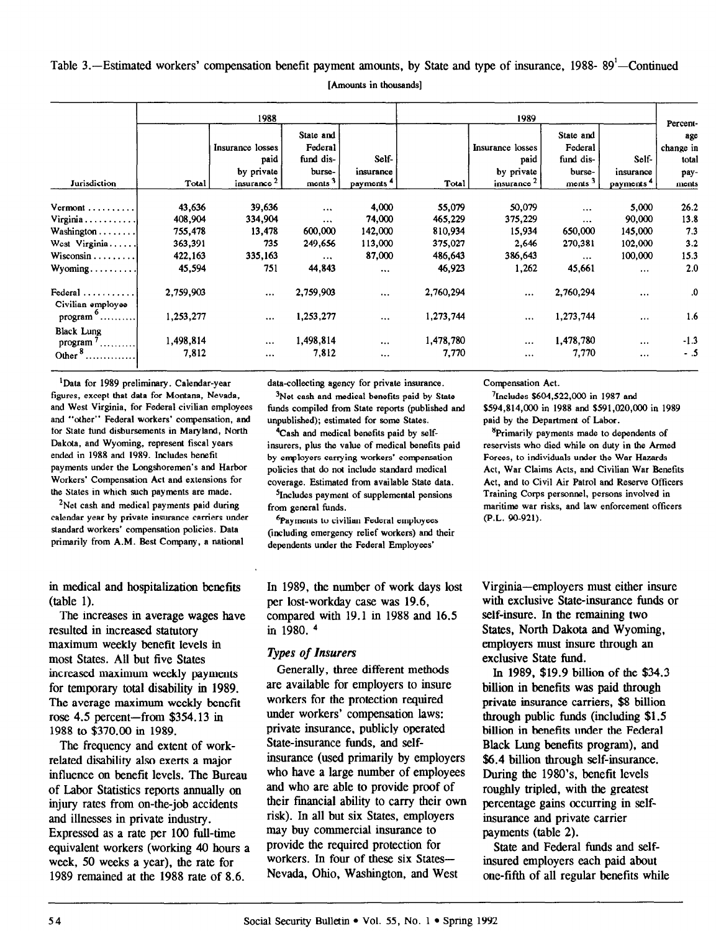Table 3.—Estimated workers' compensation benefit payment amounts, by State and type of insurance, 1988-89<sup>1</sup>—Continued [Amounts in thousands]

|                                                | 1988      |                  |             |                       | 1989      |                        |                    |                       | Percent-  |
|------------------------------------------------|-----------|------------------|-------------|-----------------------|-----------|------------------------|--------------------|-----------------------|-----------|
|                                                |           |                  | State and   |                       |           |                        | State and          |                       | age       |
|                                                |           | Insurance losses | Federal     |                       |           | Insurance losses       | Federal            |                       | change in |
|                                                |           | paid             | fund dis-   | Self-                 |           | paid                   | fund dis-          | Self-                 | total     |
|                                                |           | by private       | burse-      | insurance             |           | by private             | burse-             | insurance             | pay-      |
| Jurisdiction                                   | Total     | insurance $2$    | $ments 3$ . | payments <sup>4</sup> | Total     | insurance <sup>2</sup> | ments <sup>3</sup> | payments <sup>4</sup> | ments     |
| Vermont                                        | 43,636    | 39,636           | $\cdots$    | 4,000                 | 55,079    | 50,079                 | .                  | 5,000                 | 26.2      |
| $Virginia \ldots \ldots \ldots$                | 408,904   | 334,904          | $\cdots$    | 74,000                | 465,229   | 375,229                | $\cdots$           | 90,000                | 13.8      |
| Washington                                     | 755,478   | 13,478           | 600,000     | 142,000               | 810,934   | 15,934                 | 650,000            | 145,000               | 7.3       |
| West Virginia                                  | 363,391   | 735              | 249,656     | 113,000               | 375,027   | 2,646                  | 270,381            | 102,000               | 3.2       |
| $Wiscosin \dots \dots$                         | 422,163   | 335,163          | $\cdots$    | 87,000                | 486,643   | 386,643                | $\cdots$           | 100,000               | 15.3      |
| $Wyoming \ldots \ldots \ldots$                 | 45,594    | 751              | 44,843      | $\cdots$              | 46,923    | 1,262                  | 45,661             | $\cdots$              | 2.0       |
| Federal $\dots\dots\dots$<br>Civilian employee | 2,759,903 | $\cdots$         | 2,759,903   | $\cdots$              | 2,760,294 | $\cdots$               | 2,760,294          | $\cdots$              | .0        |
| $program$                                      | 1,253,277 | $\cdots$         | 1,253,277   | $\ddotsc$             | 1,273,744 | $\cdots$               | 1,273,744          | $\ldots$              | 1.6       |
| <b>Black Lung</b>                              |           |                  |             |                       |           |                        |                    |                       |           |
| program $7$ .<br>.                             | 1,498,814 | $\cdots$         | 1,498,814   | $\cdots$              | 1,478,780 | $\cdots$               | 1,478,780          | $\ddotsc$             | $-1.3$    |
| Other $\delta$                                 | 7,812     | $\cdots$         | 7,812       |                       | 7,770     | $\cdots$               | 7,770              | $\cdots$              | - .5      |

'Data for 1989 preliminary. Calendar-year figures, except that data for Montana, Nevada, and West Virginia, for Federal civilian employees and "other" Federal workers' compensation, and for State fund disbursements in Maryland, North Dakota, and Wyoming, represent fiscal years ended in 1988 and 1989. Includes benefit payments under the Longshoremen's and Harbor Workers' Compensation Act and extensions for the States in which such payments are made.

<sup>2</sup>Net cash and medical payments paid during calendar year by private insurance carriers under standard workers' compensation policies. Data primarily from A.M. Best Company, a national

in medical and hospitalization benefits (table 1).

The increases in average wages have resulted in increased statutory maximum weekly benefit levels in most States. All but five States increased maximum weekly payments for temporary total disability in 1989. The average maximum weekly benefit rnc average  $\mu$ atinum  $\theta$ centrom  $\theta$  $1988 + 7$  poicem-non  $\phi$ .

 $T_{\text{tot}}$  (or  $\phi$  =  $\phi$  and  $\phi$  and  $\phi$  and  $\phi$  and  $\phi$  and  $\phi$  and  $\phi$  and  $\phi$  and  $\phi$  and  $\phi$  and  $\phi$  and  $\phi$  and  $\phi$  and  $\phi$  and  $\phi$  and  $\phi$  and  $\phi$  and  $\phi$  and  $\phi$  and  $\phi$  and  $\phi$  and  $\phi$  and  $\$ relative disability and exert of work related disability also exerts a major influence on benefit levels. The Bureau of Labor Statistics reports annually oninjury rates from on-the-job accidents and illnesses in private industry. Expressed as a rate per 100 full-time equivalent workers (working 40 hours a week, 50 weeks a year), the rate for<br>1989 remained at the 1988 rate of 8.6.

data-collecting agency for private insurance.

3Net cash and medical benefits paid by State funds compiled from State reports (published and unpublished); estimated for some States.

4Cash and medical benefits paid by selfinsurers, plus the value of medical benefits paid by employers carrying workers' compensation policies that do not include standard medical coverage. Estimated from available State data.

5Jncludes payment of supplemental pensions from general funds.

6payments to civilian Federal employees (including emergency relief workers) and their dependents under the Federal Employees'

In 1989, the number of work days lost per lost-workday case was 19.6, compared with 19.1 in 1988 and 16.5 in 1980. 4

## **Types of Insurers**

Generally, three different methods are available for employers to insure workers for the protection required under workers' compensation laws: much workers compensation laws.  $\frac{1}{s}$  is  $\frac{1}{s}$  funded by  $\frac{1}{s}$ State-insurance funds, and self-<br>insurance (used primarily by employers msurance (used primarily by employers who have a large number of employer and who are able to provide proof of their financial ability to carry their own risk). In all but six States, employers may buy commercial insurance to provide the required protection for workers. In four of these six States—<br>Nevada, Ohio, Washington, and West

Compensation Act.

'Includes \$604,522,0oo in 1987 and \$594,814,000 in 1988 and \$591,020,000 in 1989 paid by the Department of Labor.

<sup>8</sup>Primarily payments made to dependents of reservists who died while on duty in the Armed Forces, to individuals under the War Hazards Act, War Claims Acts, and Civilian War Benefits Act, and to Civil Air Patrol and Reserve Officers Training Corps personnel, persons involved in maritime war risks, and law enforcement officers (P.L. 90-921).

Virginia-employers must either insure with exclusive State-insurance funds or self-insure. In the remaining two States, North Dakota and Wyoming, employers must insure through an exclusive State fund.

ln 1989, \$19.9 billion of the \$34.3 billion in benefits was paid through private insurance carriers, \$8 billion private institution called  $\frac{1}{5}$ ,  $\frac{1}{5}$ ,  $\frac{1}{5}$ ,  $\frac{1}{5}$ ,  $\frac{1}{5}$ ,  $\frac{1}{5}$ ,  $\frac{1}{5}$  $\frac{1}{2}$  billion in the Federal in  $\frac{1}{2}$  and  $\frac{1}{2}$  and  $\frac{1}{2}$  and  $\frac{1}{2}$  and  $\frac{1}{2}$  and  $\frac{1}{2}$  and  $\frac{1}{2}$  and  $\frac{1}{2}$  and  $\frac{1}{2}$  and  $\frac{1}{2}$  and  $\frac{1}{2}$  and  $\frac{1}{2}$  and  $\frac{1}{2}$  and  $\frac$  $\sum_{i=1}^{n}$  benefits the dividend benefits  $\sum_{i=1}^{n}$  $\frac{6.4}{100}$  billion throughound, and \$6.4 billion through self-insurance. During the 1980's, benefit levels roughly tripled, with the greatest percentage gains occurring in selfinsurance and private carrier<br>payments (table 2).  $S$  state and  $S$ .

state and rederal funds and selfinsured employers each paid about<br>one-fifth of all regular benefits while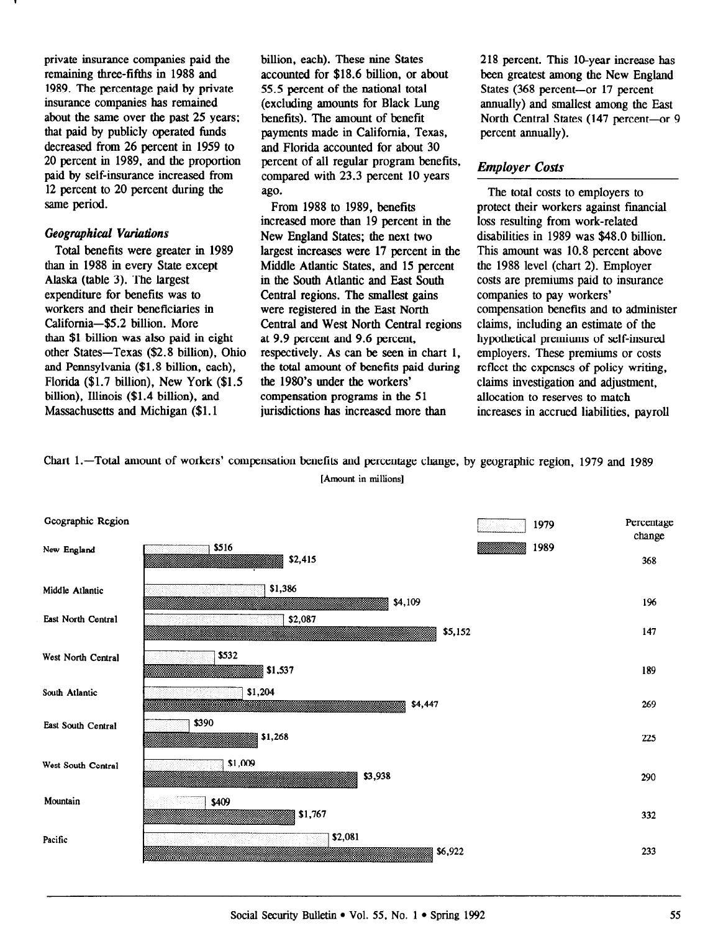private insurance companies paid the remaining three-fifths in 1988 and 1989. The percentage paid by private insurance companies has remained about the same over the past 25 years: that paid by publicly operated funds decreased from 26 percent in 1959 to 20 percent in 1989. and the proportion paid by self-insurance increased from 12 percent to 20 percent during the same period.

#### Geogruphicul Vuriudions

Total benefits were greater in 1989 than in 1988 in every State except Alaska (table 3). The largest expenditure for benefits was to workers and their beneficiaries in California-\$5.2 billion. More than \$1 billion was also paid in eight other States-Texas (\$2.8 billion), Ohio and Pennsylvania (\$1.8 billion, each), Florida (\$1.7 billion), New York (\$1.5 billion), Illinois (\$1.4 billion), and Massachusetts and Michigan (\$1.1

billion, each). These nine States accounted for \$18.6 billion, or about 55.5 percent of the national total (excluding amounts for Black Lung benefits). The amount of benefit payments made in California, Texas, and Florida accounted for about 30 percent of all regular program benefits, compared with 23.3 percent 10 years ago.

From 1988 to 1989, benefits increased more than 19 percent in the New England States; the next two largest increases were 17 percent in the Middle Atlantic States, and 15 percent in the South Atlantic and East South Central regions. The smallest gains were registered in the East North Central and West North Central regions at 9.9 percent and 9.6 percent, respectively. As can be seen in chart 1, the total amount of benefits paid during the 1980's under the workers' compensation programs in the 51 jurisdictions has increased more than

218 percent. This IO-year increase has been greatest among the New England States (368 percent-or 17 percent annually) and smallest among the East North Central States (147 percent-or 9 percent annually).

# Employer Costs

The total costs to employers to protect their workers against financial loss resulting from work-related disabilities in 1989 was \$48.0 billion. This amount was 10.8 percent above the 1988 level (chart 2). Employer costs are premiums paid to insurance companies to pay workers' compensation benefits and to administer claims, including an estimate of the hypothetical premiums of self-insured employers. These premiums or costs reflect the expenses of policy writing, claims investigation and adjustment, allocation to reserves to match increases in accrued liabilities, payroll

Chart l.-Total amount of workers' compensation benefits and percentage change, by geographic region, 1979 and 1989 [Amount in millions]